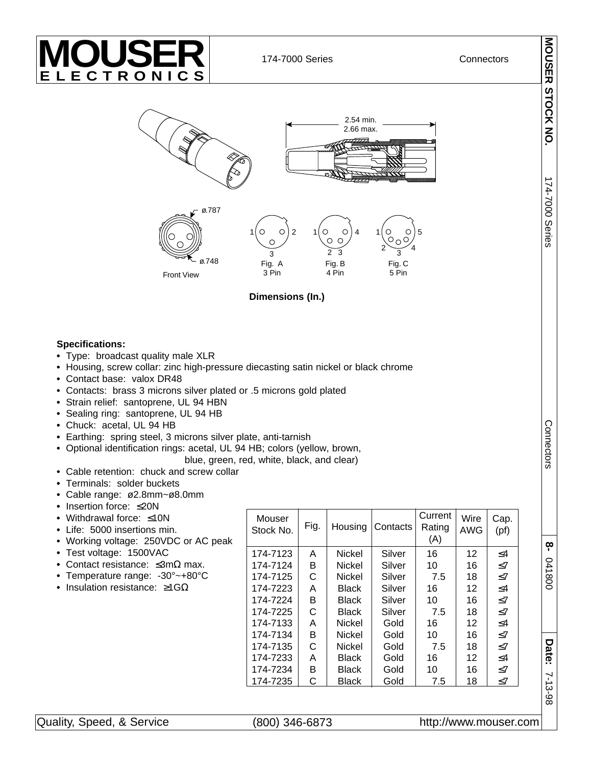

174-7000 Series **Connectors** 



**Dimensions (In.)**

## **Specifications:**

- **•** Type: broadcast quality male XLR
- **•** Housing, screw collar: zinc high-pressure diecasting satin nickel or black chrome
- **•** Contact base: valox DR48
- **•** Contacts: brass 3 microns silver plated or .5 microns gold plated
- **•** Strain relief: santoprene, UL 94 HBN
- **•** Sealing ring: santoprene, UL 94 HB
- **•** Chuck: acetal, UL 94 HB
- **•** Earthing: spring steel, 3 microns silver plate, anti-tarnish
- **•** Optional identification rings: acetal, UL 94 HB; colors (yellow, brown,

blue, green, red, white, black, and clear)

- **•** Cable retention: chuck and screw collar
- **•** Terminals: solder buckets
- **•** Cable range: ø2.8mm~ø8.0mm
- **•** Insertion force: ≤20N
- **•** Withdrawal force: ≤10N
- **•** Life: 5000 insertions min.
- **•** Working voltage: 250VDC or AC peak
- **•** Test voltage: 1500VAC
- **•** Contact resistance: ≤3mΩ max.
- **•** Temperature range: -30°~+80°C
- **•** Insulation resistance: ≥1GΩ

| Mouser<br>Stock No. | Fig. | Housing       | Contacts | Current<br>Rating<br>(A) | Wire<br>AWG       | Cap.<br>(pf) |
|---------------------|------|---------------|----------|--------------------------|-------------------|--------------|
| 174-7123            | A    | Nickel        | Silver   | 16                       | $12 \overline{ }$ | $\leq$ 4     |
| 174-7124            | в    | <b>Nickel</b> | Silver   | 10                       | 16                | $\leq 7$     |
| 174-7125            | C    | Nickel        | Silver   | 7.5                      | 18                | $<$ 7        |
| 174-7223            | A    | Black         | Silver   | 16                       | 12                | $\leq$ 4     |
| 174-7224            | в    | Black         | Silver   | 10                       | 16                | $\leq 7$     |
| 174-7225            | C    | <b>Black</b>  | Silver   | 7.5                      | 18                | $<$ 7        |
| 174-7133            | А    | <b>Nickel</b> | Gold     | 16                       | 12                | $\leq$ 4     |
| 174-7134            | в    | <b>Nickel</b> | Gold     | 10                       | 16                | $\leq 7$     |
| 174-7135            | C    | <b>Nickel</b> | Gold     | 7.5                      | 18                | $<$ 7        |
| 174-7233            | А    | <b>Black</b>  | Gold     | 16                       | 12                | $\leq 4$     |
| 174-7234            | B    | <b>Black</b>  | Gold     | 10                       | 16                | $\leq$ 7     |
| 174-7235            | С    | <b>Black</b>  | Gold     | 7.5                      | 18                | $\leq$ 7     |

**MOUSER STOCK NO.**

MOUSER STOCK NO

174-7000 Series

174-7000 Series

Connectors Connectors

**8-** 

041800

**Date:** 

7-13-98